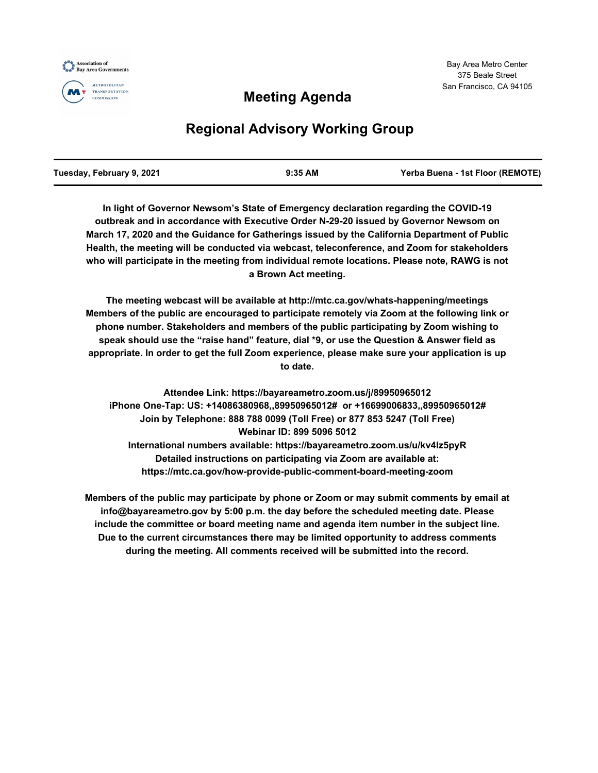

## **Meeting Agenda**

# **Regional Advisory Working Group**

| Tuesday, February 9, 2021 | $9:35$ AM | Yerba Buena - 1st Floor (REMOTE) |
|---------------------------|-----------|----------------------------------|
|                           |           |                                  |

**In light of Governor Newsom's State of Emergency declaration regarding the COVID-19 outbreak and in accordance with Executive Order N-29-20 issued by Governor Newsom on March 17, 2020 and the Guidance for Gatherings issued by the California Department of Public Health, the meeting will be conducted via webcast, teleconference, and Zoom for stakeholders who will participate in the meeting from individual remote locations. Please note, RAWG is not a Brown Act meeting.**

**The meeting webcast will be available at http://mtc.ca.gov/whats-happening/meetings Members of the public are encouraged to participate remotely via Zoom at the following link or phone number. Stakeholders and members of the public participating by Zoom wishing to speak should use the "raise hand" feature, dial \*9, or use the Question & Answer field as appropriate. In order to get the full Zoom experience, please make sure your application is up to date.**

**Attendee Link: https://bayareametro.zoom.us/j/89950965012 iPhone One-Tap: US: +14086380968,,89950965012# or +16699006833,,89950965012# Join by Telephone: 888 788 0099 (Toll Free) or 877 853 5247 (Toll Free) Webinar ID: 899 5096 5012 International numbers available: https://bayareametro.zoom.us/u/kv4Iz5pyR Detailed instructions on participating via Zoom are available at: https://mtc.ca.gov/how-provide-public-comment-board-meeting-zoom**

**Members of the public may participate by phone or Zoom or may submit comments by email at info@bayareametro.gov by 5:00 p.m. the day before the scheduled meeting date. Please include the committee or board meeting name and agenda item number in the subject line. Due to the current circumstances there may be limited opportunity to address comments during the meeting. All comments received will be submitted into the record.**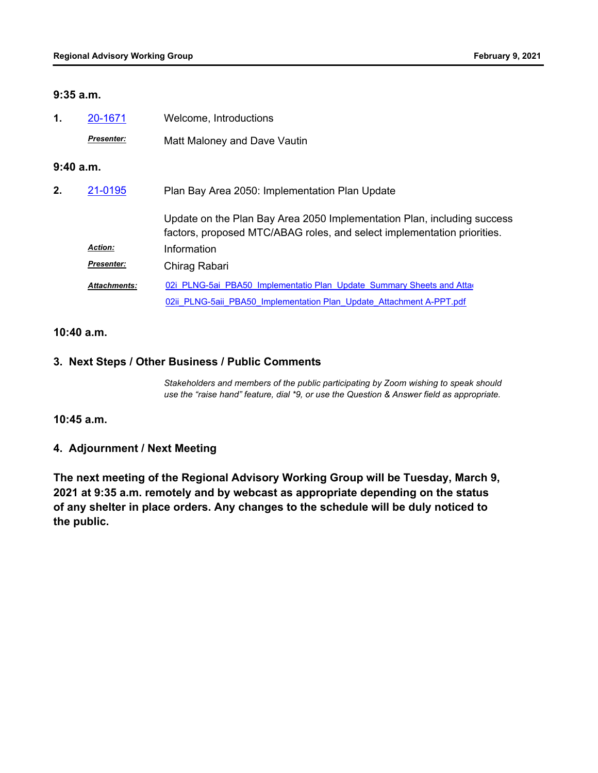#### **9:35 a.m.**

| 1.       | 20-1671             | Welcome, Introductions                                                                                                                             |  |
|----------|---------------------|----------------------------------------------------------------------------------------------------------------------------------------------------|--|
|          | <b>Presenter:</b>   | Matt Maloney and Dave Vautin                                                                                                                       |  |
| 9:40a.m. |                     |                                                                                                                                                    |  |
| 2.       | 21-0195             | Plan Bay Area 2050: Implementation Plan Update                                                                                                     |  |
|          |                     | Update on the Plan Bay Area 2050 Implementation Plan, including success<br>factors, proposed MTC/ABAG roles, and select implementation priorities. |  |
|          | <b>Action:</b>      | Information                                                                                                                                        |  |
|          | Presenter:          | Chirag Rabari                                                                                                                                      |  |
|          | <b>Attachments:</b> | 02i PLNG-5ai PBA50 Implementatio Plan Update Summary Sheets and Atta                                                                               |  |
|          |                     | 02ii PLNG-5aii PBA50 Implementation Plan Update Attachment A-PPT.pdf                                                                               |  |

#### **10:40 a.m.**

### **3. Next Steps / Other Business / Public Comments**

*Stakeholders and members of the public participating by Zoom wishing to speak should use the "raise hand" feature, dial \*9, or use the Question & Answer field as appropriate.*

**10:45 a.m.**

#### **4. Adjournment / Next Meeting**

**The next meeting of the Regional Advisory Working Group will be Tuesday, March 9, 2021 at 9:35 a.m. remotely and by webcast as appropriate depending on the status of any shelter in place orders. Any changes to the schedule will be duly noticed to the public.**